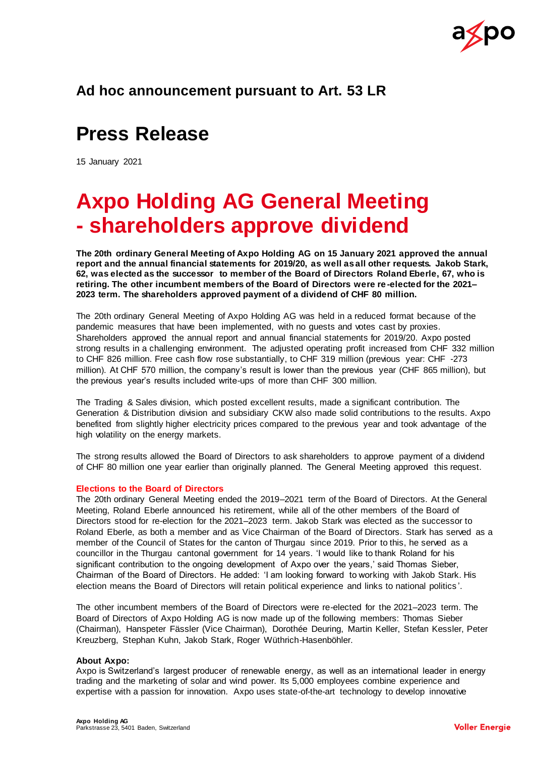

### **Ad hoc announcement pursuant to Art. 53 LR**

## **Press Release**

15 January 2021

# **Axpo Holding AG General Meeting - shareholders approve dividend**

**The 20th ordinary General Meeting of Axpo Holding AG on 15 January 2021 approved the annual report and the annual financial statements for 2019/20, as well as all other requests. Jakob Stark, 62, was elected as the successor to member of the Board of Directors Roland Eberle, 67, who is retiring. The other incumbent members of the Board of Directors were re -elected for the 2021– 2023 term. The shareholders approved payment of a dividend of CHF 80 million.** 

The 20th ordinary General Meeting of Axpo Holding AG was held in a reduced format because of the pandemic measures that have been implemented, with no guests and votes cast by proxies. Shareholders approved the annual report and annual financial statements for 2019/20. Axpo posted strong results in a challenging environment. The adjusted operating profit increased from CHF 332 million to CHF 826 million. Free cash flow rose substantially, to CHF 319 million (previous year: CHF -273 million). At CHF 570 million, the company's result is lower than the previous year (CHF 865 million), but the previous year's results included write-ups of more than CHF 300 million.

The Trading & Sales division, which posted excellent results, made a significant contribution. The Generation & Distribution division and subsidiary CKW also made solid contributions to the results. Axpo benefited from slightly higher electricity prices compared to the previous year and took advantage of the high volatility on the energy markets.

The strong results allowed the Board of Directors to ask shareholders to approve payment of a dividend of CHF 80 million one year earlier than originally planned. The General Meeting approved this request.

#### **Elections to the Board of Directors**

The 20th ordinary General Meeting ended the 2019–2021 term of the Board of Directors. At the General Meeting, Roland Eberle announced his retirement, while all of the other members of the Board of Directors stood for re-election for the 2021–2023 term. Jakob Stark was elected as the successor to Roland Eberle, as both a member and as Vice Chairman of the Board of Directors. Stark has served as a member of the Council of States for the canton of Thurgau since 2019. Prior to this, he served as a councillor in the Thurgau cantonal government for 14 years. 'I would like to thank Roland for his significant contribution to the ongoing development of Axpo over the years,' said Thomas Sieber, Chairman of the Board of Directors. He added: 'I am looking forward to working with Jakob Stark. His election means the Board of Directors will retain political experience and links to national politics '.

The other incumbent members of the Board of Directors were re-elected for the 2021–2023 term. The Board of Directors of Axpo Holding AG is now made up of the following members: Thomas Sieber (Chairman), Hanspeter Fässler (Vice Chairman), Dorothée Deuring, Martin Keller, Stefan Kessler, Peter Kreuzberg, Stephan Kuhn, Jakob Stark, Roger Wüthrich-Hasenböhler.

#### **About Axpo:**

Axpo is Switzerland's largest producer of renewable energy, as well as an international leader in energy trading and the marketing of solar and wind power. Its 5,000 employees combine experience and expertise with a passion for innovation. Axpo uses state-of-the-art technology to develop innovative